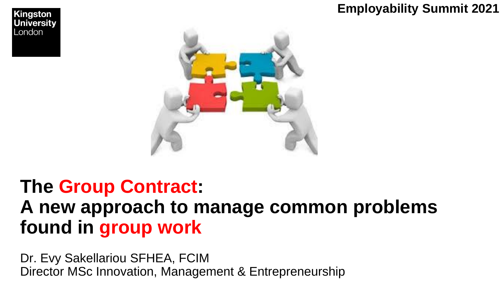### **Employability Summit 2021**



### **The Group Contract: A new approach to manage common problems found in group work**

Dr. Evy Sakellariou SFHEA, FCIM Director MSc Innovation, Management & Entrepreneurship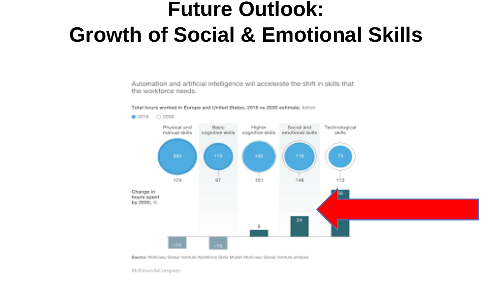### **Future Outlook: Growth of Social & Emotional Skills**

Automation and artificial intelligence will accelerate the shift in skills that the workforce needs.

#### Total hours worked in Europe and United States, 2016 vs 2038 estimate, billion



Source: McKinsey Global Institute Workforce Skills Model; McKinsey Global Institute analysis

McKinsey&Company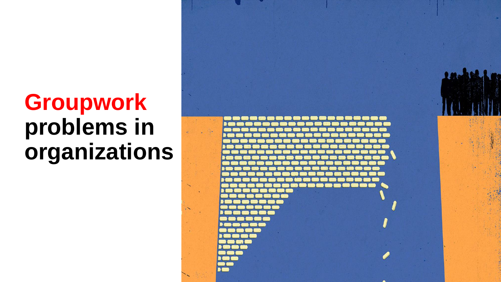## **Groupwork problems in organizations**

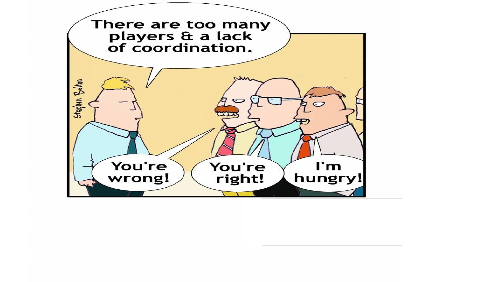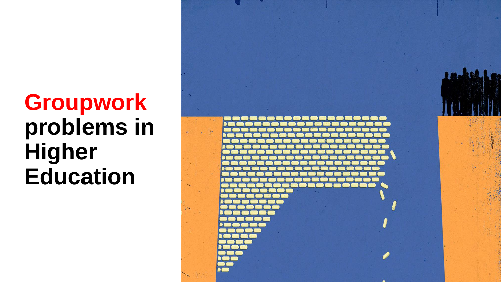## **Groupwork problems in Higher Education**

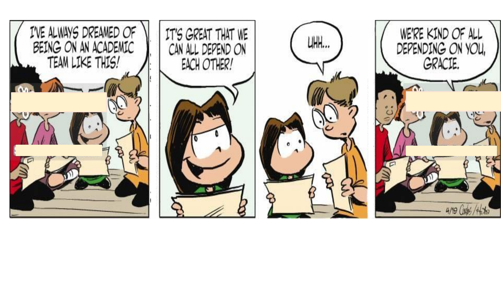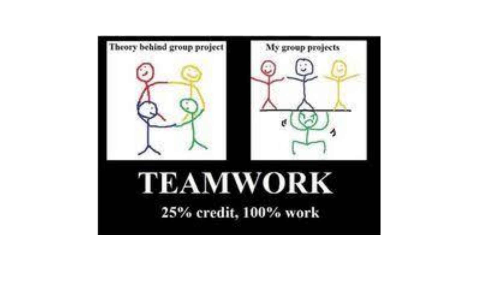![](_page_6_Picture_0.jpeg)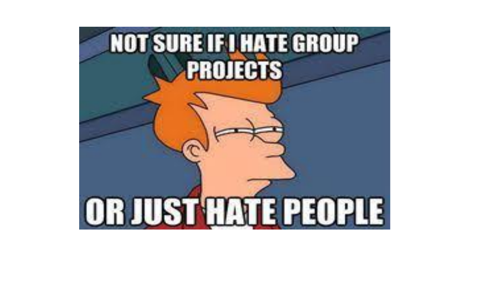![](_page_7_Picture_0.jpeg)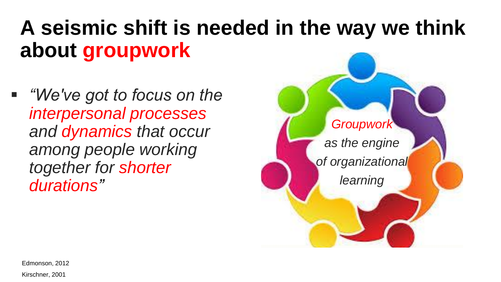## **A seismic shift is needed in the way we think about groupwork**

▪ *"We've got to focus on the interpersonal processes and dynamics that occur among people working together for shorter durations"*

![](_page_8_Picture_2.jpeg)

Edmonson, 2012

Kirschner, 2001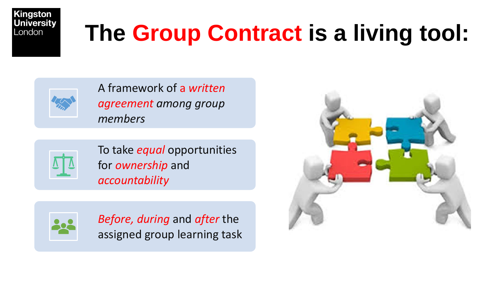![](_page_9_Picture_0.jpeg)

## **The Group Contract is a living tool:**

![](_page_9_Picture_2.jpeg)

A framework of a *written agreement among group members*

![](_page_9_Picture_4.jpeg)

To take *equal* opportunities for *ownership* and *accountability*

![](_page_9_Picture_6.jpeg)

*Before, during* and *after* the assigned group learning task

![](_page_9_Picture_8.jpeg)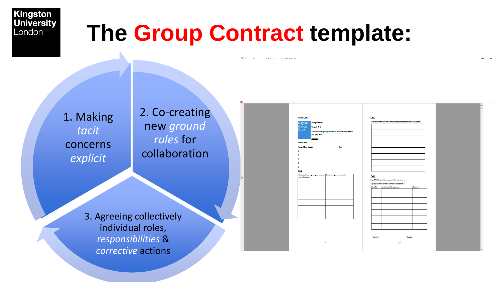## **The Group Contract template:**

1. Making *tacit*  concerns *explicit*

2. Co-creating new ground *rules* for collaboration

3. Agreeing collectively individual roles, *responsibilities* & *corrective* actions

| Kingston<br><b>Business</b><br>School               | <b>Group Contract</b><br>Tasks, 1, 2, 3<br>your group report.<br>Instructor: | Attention: To be signed by the Instructor, and to be submitted with |
|-----------------------------------------------------|------------------------------------------------------------------------------|---------------------------------------------------------------------|
| <b>Name of Team:</b><br><b>Names of Team Member</b> |                                                                              | <b>Role</b>                                                         |
| ı                                                   |                                                                              |                                                                     |
| 2                                                   |                                                                              |                                                                     |
| ŝ.                                                  |                                                                              |                                                                     |
| 4                                                   |                                                                              |                                                                     |
| š.                                                  |                                                                              |                                                                     |
| Task <sub>1</sub>                                   |                                                                              |                                                                     |
| group for this suignment                            | Discuss and write what can go wrong when worlding as a                       | Brainstorm and agree as a team a solution                           |
|                                                     |                                                                              |                                                                     |
|                                                     |                                                                              |                                                                     |
|                                                     |                                                                              |                                                                     |
|                                                     |                                                                              |                                                                     |
|                                                     |                                                                              |                                                                     |
|                                                     |                                                                              |                                                                     |
|                                                     |                                                                              |                                                                     |
|                                                     |                                                                              |                                                                     |
|                                                     |                                                                              |                                                                     |

| Task 2    |                                                                                                           |          |
|-----------|-----------------------------------------------------------------------------------------------------------|----------|
|           | Write down the agreed ground rules to work collaboratively and efficiently as a group for this assignment |          |
|           |                                                                                                           |          |
|           |                                                                                                           |          |
|           |                                                                                                           |          |
|           |                                                                                                           |          |
|           |                                                                                                           |          |
|           |                                                                                                           |          |
|           |                                                                                                           |          |
|           |                                                                                                           |          |
|           |                                                                                                           |          |
|           |                                                                                                           |          |
|           |                                                                                                           |          |
|           |                                                                                                           |          |
|           |                                                                                                           |          |
|           |                                                                                                           |          |
|           |                                                                                                           |          |
| <br>Task3 |                                                                                                           |          |
|           | Agree DETAILED responsibilities and expectations from each member.                                        |          |
|           | San this group contract and ask from your instructor to sign it as well.                                  |          |
| Name/Role | Detailed responsibilities/expectations                                                                    | Seators. |
|           |                                                                                                           |          |
|           |                                                                                                           |          |
|           |                                                                                                           |          |
|           |                                                                                                           |          |
|           |                                                                                                           |          |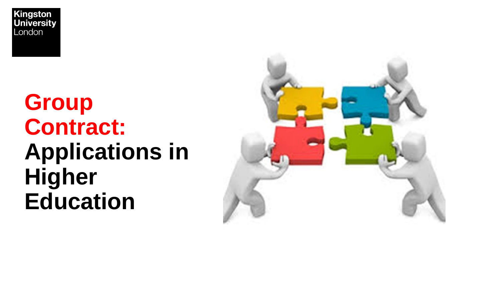## **Group Contract: Applications in Higher Education**

![](_page_11_Picture_2.jpeg)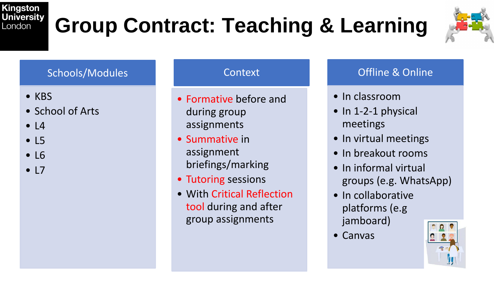# **Group Contract: Teaching & Learning**

![](_page_12_Picture_2.jpeg)

#### Schools/Modules

- KBS
- School of Arts
- $\bullet$  L4
- L5
- L6
- $\bullet$  L7

#### Context

- Formative before and during group assignments
- Summative in assignment briefings/marking
- Tutoring sessions
- With Critical Reflection tool during and after group assignments

#### Offline & Online

- In classroom
- In 1-2-1 physical meetings
- In virtual meetings
- In breakout rooms
- In informal virtual groups (e.g. WhatsApp)
- In collaborative platforms (e.g jamboard)
- Canvas

![](_page_12_Picture_23.jpeg)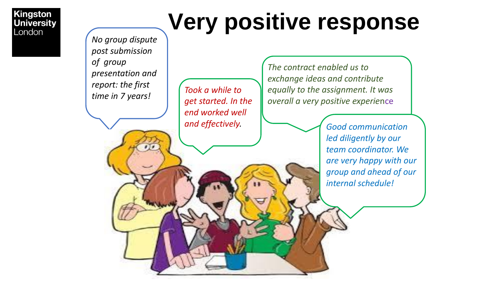# **Very positive response**

*No group dispute post submission of group presentation and report: the first time in 7 years!*

*Took a while to get started. In the end worked well* 

*The contract enabled us to exchange ideas and contribute equally to the assignment. It was overall a very positive experie*nce

and effectively. *led diligently by our team coordinator. We are very happy with our group and ahead of our internal schedule!*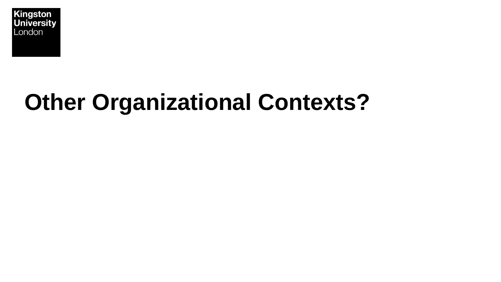![](_page_14_Picture_0.jpeg)

## **Other Organizational Contexts?**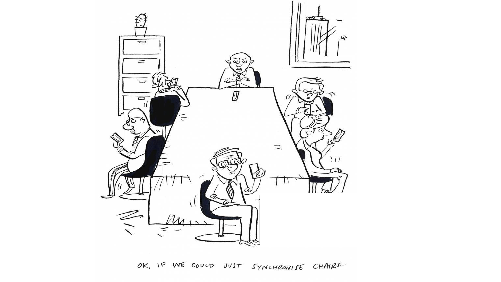![](_page_15_Picture_0.jpeg)

OK, IF WE COULD JUST SYNCHRONISE CHAIRS.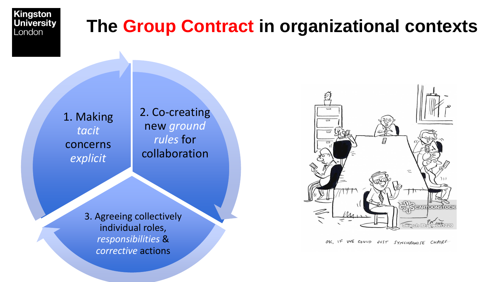![](_page_16_Picture_0.jpeg)

### **The Group Contract in organizational contexts**

1. Making *tacit*  concerns *explicit*

2. Co-creating new *ground rules* for collaboration

3. Agreeing collectively individual roles, *responsibilities* & *corrective* actions

![](_page_16_Picture_5.jpeg)

OK, IF WE COULD JUST SYNCHRONISE CHAIRS.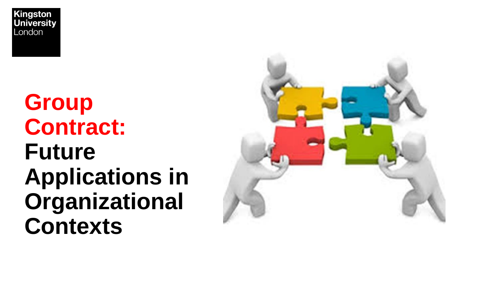## **Group Contract: Future Applications in Organizational Contexts**

![](_page_17_Picture_2.jpeg)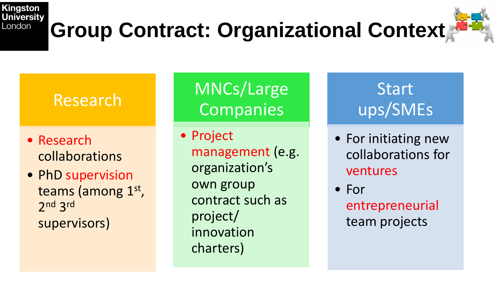## **Group Contract: Organizational Context**

![](_page_18_Picture_2.jpeg)

### Research

- Research collaborations
- PhD supervision teams (among 1st, 2 nd 3 rd supervisors)

MNCs/Large **Companies** 

• Project management (e.g. organization's own group contract such as project/ innovation charters)

Start ups/SMEs

• For initiating new collaborations for ventures

• For entrepreneurial team projects